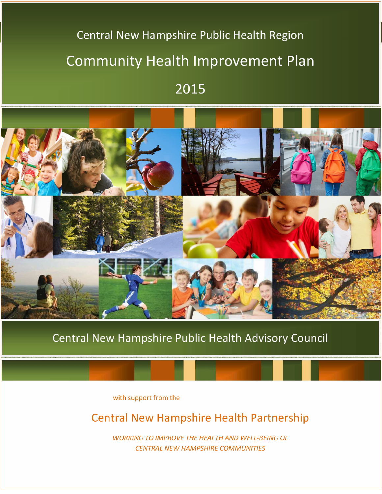# Central New Hampshire Public Health Region **Community Health Improvement Plan** 2015



# Central New Hampshire Public Health Advisory Council

with support from the

**Central New Hampshire Health Partnership** 

**WORKING TO IMPROVE THE HEALTH AND WELL-BEING OF CENTRAL NEW HAMPSHIRE COMMUNITIES**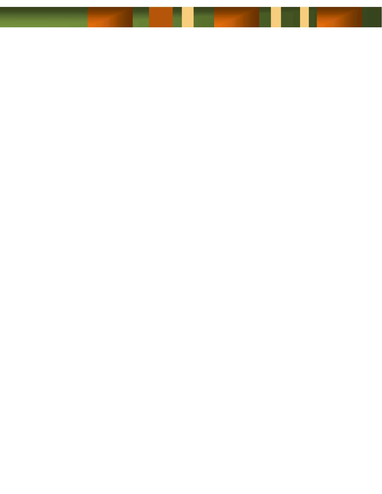F

**Contract** in

**II**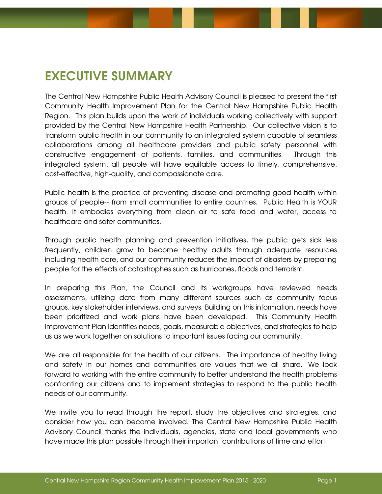# EXECUTIVE SUMMARY

The Central New Hampshire Public Health Advisory Council is pleased to present the first Community Health Improvement Plan for the Central New Hampshire Public Health Region. This plan builds upon the work of individuals working collectively with support provided by the Central New Hampshire Health Partnership. Our collective vision is to transform public health in our community to an integrated system capable of seamless collaborations among all healthcare providers and public safety personnel with constructive engagement of patients, families, and communities. Through this integrated system, all people will have equitable access to timely, comprehensive, cost-effective, high-quality, and compassionate care.

Public health is the practice of preventing disease and promoting good health within groups of people-- from small communities to entire countries. Public Health is YOUR health. It embodies everything from clean air to safe food and water, access to healthcare and safer communities.

Through public health planning and prevention initiatives, the public gets sick less frequently, children grow to become healthy adults through adequate resources including health care, and our community reduces the impact of disasters by preparing people for the effects of catastrophes such as hurricanes, floods and terrorism.

In preparing this Plan, the Council and its workgroups have reviewed needs assessments, utilizing data from many different sources such as community focus groups, key stakeholder interviews, and surveys. Building on this information, needs have been prioritized and work plans have been developed. This Community Health Improvement Plan identifies needs, goals, measurable objectives, and strategies to help us as we work together on solutions to important issues facing our community.

We are all responsible for the health of our citizens. The importance of healthy living and safety in our homes and communities are values that we all share. We look forward to working with the entire community to better understand the health problems confronting our citizens and to implement strategies to respond to the public health needs of our community.

We invite you to read through the report, study the objectives and strategies, and consider how you can become involved. The Central New Hampshire Public Health Advisory Council thanks the individuals, agencies, state and local governments who have made this plan possible through their important contributions of time and effort.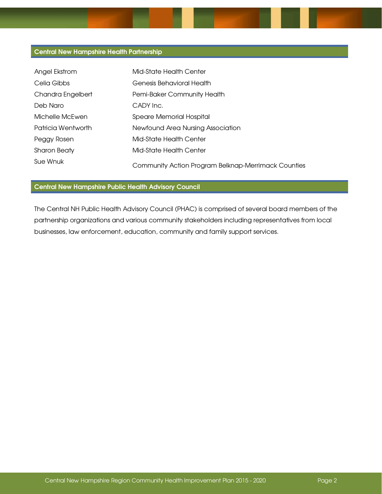#### Central New Hampshire Health Partnership

| Angel Ekstrom      | Mid-State Health Center                             |
|--------------------|-----------------------------------------------------|
| Celia Gibbs        | Genesis Behavioral Health                           |
| Chandra Engelbert  | Pemi-Baker Community Health                         |
| Deb Naro           | CADY Inc.                                           |
| Michelle McEwen    | <b>Speare Memorial Hospital</b>                     |
| Patricia Wentworth | Newfound Area Nursing Association                   |
| Peggy Rosen        | Mid-State Health Center                             |
| Sharon Beaty       | Mid-State Health Center                             |
| Sue Wnuk           | Community Action Program Belknap-Merrimack Counties |

#### Central New Hampshire Public Health Advisory Council

The Central NH Public Health Advisory Council (PHAC) is comprised of several board members of the partnership organizations and various community stakeholders including representatives from local businesses, law enforcement, education, community and family support services.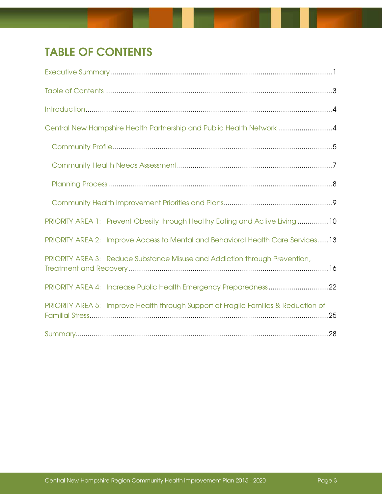# TABLE OF CONTENTS

| Central New Hampshire Health Partnership and Public Health Network 4               |
|------------------------------------------------------------------------------------|
|                                                                                    |
|                                                                                    |
|                                                                                    |
|                                                                                    |
| PRIORITY AREA 1: Prevent Obesity through Healthy Eating and Active Living 10       |
| PRIORITY AREA 2: Improve Access to Mental and Behavioral Health Care Services13    |
| PRIORITY AREA 3: Reduce Substance Misuse and Addiction through Prevention,         |
|                                                                                    |
| PRIORITY AREA 5: Improve Health through Support of Fragile Families & Reduction of |
|                                                                                    |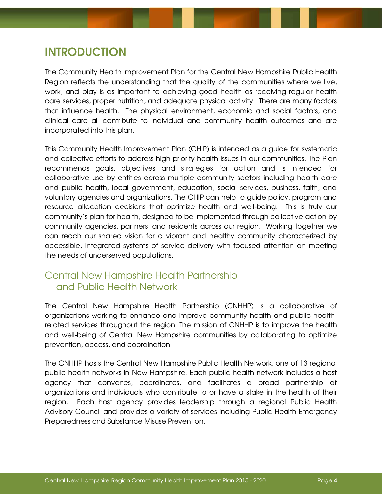# INTRODUCTION

The Community Health Improvement Plan for the Central New Hampshire Public Health Region reflects the understanding that the quality of the communities where we live, work, and play is as important to achieving good health as receiving regular health care services, proper nutrition, and adequate physical activity. There are many factors that influence health. The physical environment, economic and social factors, and clinical care all contribute to individual and community health outcomes and are incorporated into this plan.

This Community Health Improvement Plan (CHIP) is intended as a guide for systematic and collective efforts to address high priority health issues in our communities. The Plan recommends goals, objectives and strategies for action and is intended for collaborative use by entities across multiple community sectors including health care and public health, local government, education, social services, business, faith, and voluntary agencies and organizations. The CHIP can help to guide policy, program and resource allocation decisions that optimize health and well-being. This is truly our community's plan for health, designed to be implemented through collective action by community agencies, partners, and residents across our region. Working together we can reach our shared vision for a vibrant and healthy community characterized by accessible, integrated systems of service delivery with focused attention on meeting the needs of underserved populations.

# Central New Hampshire Health Partnership and Public Health Network

The Central New Hampshire Health Partnership (CNHHP) is a collaborative of organizations working to enhance and improve community health and public healthrelated services throughout the region. The mission of CNHHP is to improve the health and well-being of Central New Hampshire communities by collaborating to optimize prevention, access, and coordination.

The CNHHP hosts the Central New Hampshire Public Health Network, one of 13 regional public health networks in New Hampshire. Each public health network includes a host agency that convenes, coordinates, and facilitates a broad partnership of organizations and individuals who contribute to or have a stake in the health of their region. Each host agency provides leadership through a regional Public Health Advisory Council and provides a variety of services including Public Health Emergency Preparedness and Substance Misuse Prevention.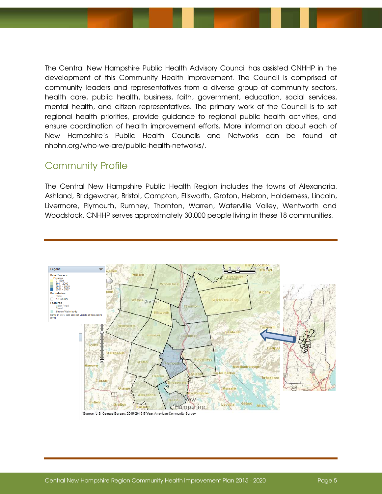The Central New Hampshire Public Health Advisory Council has assisted CNHHP in the development of this Community Health Improvement. The Council is comprised of community leaders and representatives from a diverse group of community sectors, health care, public health, business, faith, government, education, social services, mental health, and citizen representatives. The primary work of the Council is to set regional health priorities, provide guidance to regional public health activities, and ensure coordination of health improvement efforts. More information about each of New Hampshire's Public Health Councils and Networks can be found at nhphn.org/who-we-are/public-health-networks/.

#### Community Profile

The Central New Hampshire Public Health Region includes the towns of Alexandria, Ashland, Bridgewater, Bristol, Campton, Ellsworth, Groton, Hebron, Holderness, Lincoln, Livermore, Plymouth, Rumney, Thornton, Warren, Waterville Valley, Wentworth and Woodstock. CNHHP serves approximately 30,000 people living in these 18 communities.

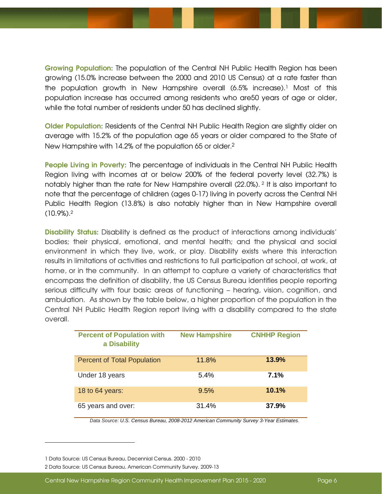Growing Population: The population of the Central NH Public Health Region has been growing (15.0% increase between the 2000 and 2010 US Census) at a rate faster than the population growth in New Hampshire overall (6.5% increase).<sup>1</sup> Most of this population increase has occurred among residents who are50 years of age or older, while the total number of residents under 50 has declined slightly.

**Older Population:** Residents of the Central NH Public Health Region are slightly older on average with 15.2% of the population age 65 years or older compared to the State of New Hampshire with 14.2% of the population 65 or older.<sup>2</sup>

People Living in Poverty: The percentage of individuals in the Central NH Public Health Region living with incomes at or below 200% of the federal poverty level (32.7%) is notably higher than the rate for New Hampshire overall (22.0%). 2 It is also important to note that the percentage of children (ages 0-17) living in poverty across the Central NH Public Health Region (13.8%) is also notably higher than in New Hampshire overall (10.9%).<sup>2</sup>

Disability Status: Disability is defined as the product of interactions among individuals' bodies; their physical, emotional, and mental health; and the physical and social environment in which they live, work, or play. Disability exists where this interaction results in limitations of activities and restrictions to full participation at school, at work, at home, or in the community. In an attempt to capture a variety of characteristics that encompass the definition of disability, the US Census Bureau identifies people reporting serious difficulty with four basic areas of functioning – hearing, vision, cognition, and ambulation. As shown by the table below, a higher proportion of the population in the Central NH Public Health Region report living with a disability compared to the state overall.

| <b>Percent of Population with</b><br>a Disability | <b>New Hampshire</b> | <b>CNHHP Region</b> |
|---------------------------------------------------|----------------------|---------------------|
| <b>Percent of Total Population</b>                | 11.8%                | 13.9%               |
| Under 18 years                                    | 5.4%                 | 7.1%                |
| 18 to 64 years:                                   | 9.5%                 | 10.1%               |
| 65 years and over:                                | 31.4%                | 37.9%               |

Data Source: U.S. Census Bureau, 2008-2012 American Community Survey 3-Year Estimates.

-

Central New Hampshire Region Community Health Improvement Plan 2015 - 2020 Page 6

<sup>1</sup> Data Source: US Census Bureau, Decennial Census. 2000 - 2010

<sup>2</sup> Data Source: US Census Bureau, American Community Survey. 2009-13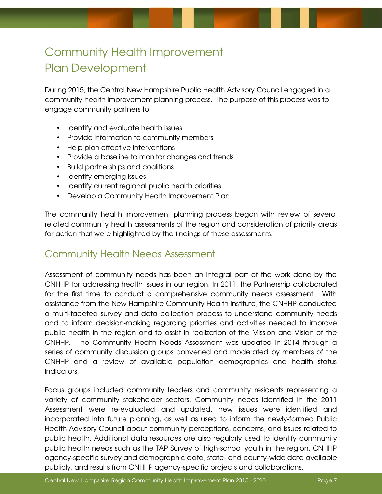# Community Health Improvement Plan Development

During 2015, the Central New Hampshire Public Health Advisory Council engaged in a community health improvement planning process. The purpose of this process was to engage community partners to:

- Identify and evaluate health issues
- Provide information to community members
- Help plan effective interventions
- Provide a baseline to monitor changes and trends
- Build partnerships and coalitions
- Identify emerging issues
- Identify current regional public health priorities
- Develop a Community Health Improvement Plan

The community health improvement planning process began with review of several related community health assessments of the region and consideration of priority areas for action that were highlighted by the findings of these assessments.

#### Community Health Needs Assessment

Assessment of community needs has been an integral part of the work done by the CNHHP for addressing health issues in our region. In 2011, the Partnership collaborated for the first time to conduct a comprehensive community needs assessment. With assistance from the New Hampshire Community Health Institute, the CNHHP conducted a multi-faceted survey and data collection process to understand community needs and to inform decision-making regarding priorities and activities needed to improve public health in the region and to assist in realization of the Mission and Vision of the CNHHP. The Community Health Needs Assessment was updated in 2014 through a series of community discussion groups convened and moderated by members of the CNHHP and a review of available population demographics and health status indicators.

Focus groups included community leaders and community residents representing a variety of community stakeholder sectors. Community needs identified in the 2011 Assessment were re-evaluated and updated, new issues were identified and incorporated into future planning, as well as used to inform the newly-formed Public Health Advisory Council about community perceptions, concerns, and issues related to public health. Additional data resources are also regularly used to identify community public health needs such as the TAP Survey of high-school youth in the region, CNHHP agency-specific survey and demographic data, state- and county-wide data available publicly, and results from CNHHP agency-specific projects and collaborations.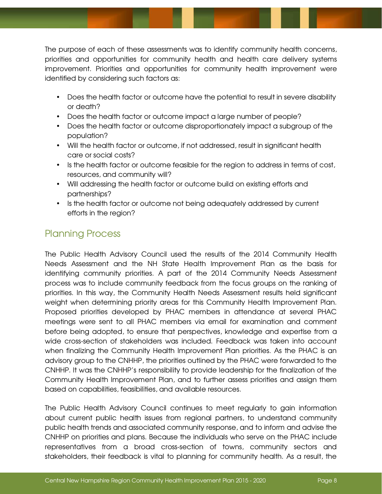The purpose of each of these assessments was to identify community health concerns, priorities and opportunities for community health and health care delivery systems improvement. Priorities and opportunities for community health improvement were identified by considering such factors as:

- Does the health factor or outcome have the potential to result in severe disability or death?
- Does the health factor or outcome impact a large number of people?
- Does the health factor or outcome disproportionately impact a subgroup of the population?
- Will the health factor or outcome, if not addressed, result in significant health care or social costs?
- Is the health factor or outcome feasible for the region to address in terms of cost, resources, and community will?
- Will addressing the health factor or outcome build on existing efforts and partnerships?
- Is the health factor or outcome not being adequately addressed by current efforts in the region?

# Planning Process

The Public Health Advisory Council used the results of the 2014 Community Health Needs Assessment and the NH State Health Improvement Plan as the basis for identifying community priorities. A part of the 2014 Community Needs Assessment process was to include community feedback from the focus groups on the ranking of priorities. In this way, the Community Health Needs Assessment results held significant weight when determining priority areas for this Community Health Improvement Plan. Proposed priorities developed by PHAC members in attendance at several PHAC meetings were sent to all PHAC members via email for examination and comment before being adopted, to ensure that perspectives, knowledge and expertise from a wide cross-section of stakeholders was included. Feedback was taken into account when finalizing the Community Health Improvement Plan priorities. As the PHAC is an advisory group to the CNHHP, the priorities outlined by the PHAC were forwarded to the CNHHP. It was the CNHHP's responsibility to provide leadership for the finalization of the Community Health Improvement Plan, and to further assess priorities and assign them based on capabilities, feasibilities, and available resources.

The Public Health Advisory Council continues to meet regularly to gain information about current public health issues from regional partners, to understand community public health trends and associated community response, and to inform and advise the CNHHP on priorities and plans. Because the individuals who serve on the PHAC include representatives from a broad cross-section of towns, community sectors and stakeholders, their feedback is vital to planning for community health. As a result, the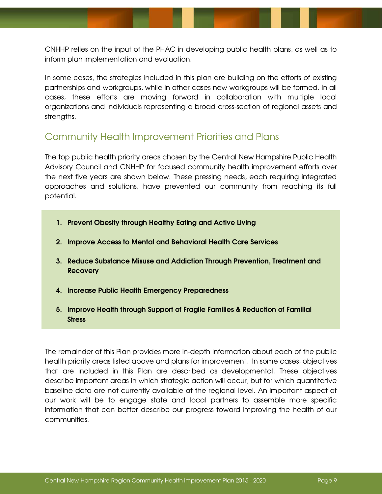CNHHP relies on the input of the PHAC in developing public health plans, as well as to inform plan implementation and evaluation.

In some cases, the strategies included in this plan are building on the efforts of existing partnerships and workgroups, while in other cases new workgroups will be formed. In all cases, these efforts are moving forward in collaboration with multiple local organizations and individuals representing a broad cross-section of regional assets and strengths.

# Community Health Improvement Priorities and Plans

The top public health priority areas chosen by the Central New Hampshire Public Health Advisory Council and CNHHP for focused community health improvement efforts over the next five years are shown below. These pressing needs, each requiring integrated approaches and solutions, have prevented our community from reaching its full potential.

- 1. Prevent Obesity through Healthy Eating and Active Living
- 2. Improve Access to Mental and Behavioral Health Care Services
- 3. Reduce Substance Misuse and Addiction Through Prevention, Treatment and **Recovery**
- 4. Increase Public Health Emergency Preparedness
- 5. Improve Health through Support of Fragile Families & Reduction of Familial **Stress**

The remainder of this Plan provides more in-depth information about each of the public health priority areas listed above and plans for improvement. In some cases, objectives that are included in this Plan are described as developmental. These objectives describe important areas in which strategic action will occur, but for which quantitative baseline data are not currently available at the regional level. An important aspect of our work will be to engage state and local partners to assemble more specific information that can better describe our progress toward improving the health of our communities.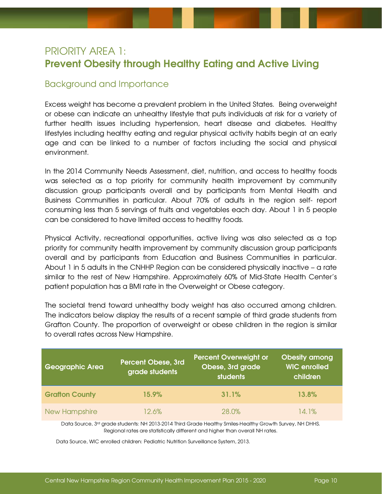# PRIORITY AREA 1: Prevent Obesity through Healthy Eating and Active Living

#### Background and Importance

Excess weight has become a prevalent problem in the United States. Being overweight or obese can indicate an unhealthy lifestyle that puts individuals at risk for a variety of further health issues including hypertension, heart disease and diabetes. Healthy lifestyles including healthy eating and regular physical activity habits begin at an early age and can be linked to a number of factors including the social and physical environment.

In the 2014 Community Needs Assessment, diet, nutrition, and access to healthy foods was selected as a top priority for community health improvement by community discussion group participants overall and by participants from Mental Health and Business Communities in particular. About 70% of adults in the region self- report consuming less than 5 servings of fruits and vegetables each day. About 1 in 5 people can be considered to have limited access to healthy foods.

Physical Activity, recreational opportunities, active living was also selected as a top priority for community health improvement by community discussion group participants overall and by participants from Education and Business Communities in particular. About 1 in 5 adults in the CNHHP Region can be considered physically inactive – a rate similar to the rest of New Hampshire. Approximately 60% of Mid-State Health Center's patient population has a BMI rate in the Overweight or Obese category.

The societal trend toward unhealthy body weight has also occurred among children. The indicators below display the results of a recent sample of third grade students from Grafton County. The proportion of overweight or obese children in the region is similar to overall rates across New Hampshire.

| <b>Geographic Area</b> | <b>Percent Obese, 3rd</b><br>grade students | <b>Percent Overweight or</b><br>Obese, 3rd grade<br><b>students</b> | <b>Obesity among</b><br><b>WIC enrolled</b><br>children |
|------------------------|---------------------------------------------|---------------------------------------------------------------------|---------------------------------------------------------|
| <b>Grafton County</b>  | 15.9%                                       | 31.1%                                                               | 13.8%                                                   |
| New Hampshire          | 12.6%                                       | 28.0%                                                               | $14.1\%$                                                |

Data Source, 3rd grade students: NH 2013-2014 Third Grade Healthy Smiles-Healthy Growth Survey, NH DHHS. Regional rates are statistically different and higher than overall NH rates.

Data Source, WIC enrolled children: Pediatric Nutrition Surveillance System, 2013.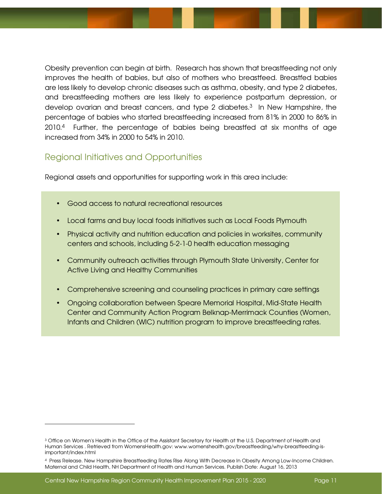Obesity prevention can begin at birth. Research has shown that breastfeeding not only improves the health of babies, but also of mothers who breastfeed. Breastfed babies are less likely to develop chronic diseases such as asthma, obesity, and type 2 diabetes, and breastfeeding mothers are less likely to experience postpartum depression, or develop ovarian and breast cancers, and type 2 diabetes.3 In New Hampshire, the percentage of babies who started breastfeeding increased from 81% in 2000 to 86% in 2010.4 Further, the percentage of babies being breastfed at six months of age increased from 34% in 2000 to 54% in 2010.

#### Regional Initiatives and Opportunities

Regional assets and opportunities for supporting work in this area include:

- Good access to natural recreational resources
- Local farms and buy local foods initiatives such as Local Foods Plymouth
- Physical activity and nutrition education and policies in worksites, community centers and schools, including 5-2-1-0 health education messaging
- Community outreach activities through Plymouth State University, Center for Active Living and Healthy Communities
- Comprehensive screening and counseling practices in primary care settings
- Ongoing collaboration between Speare Memorial Hospital, Mid-State Health Center and Community Action Program Belknap-Merrimack Counties (Women, Infants and Children (WIC) nutrition program to improve breastfeeding rates.

-

<sup>3</sup> Office on Women's Health in the Office of the Assistant Secretary for Health at the U.S. Department of Health and Human Services . Retrieved from WomensHealth.gov: www.womenshealth.gov/breastfeeding/why-breastfeeding-isimportant/index.html

<sup>4</sup> Press Release. New Hampshire Breastfeeding Rates Rise Along With Decrease In Obesity Among Low-Income Children. Maternal and Child Health, NH Department of Health and Human Services. Publish Date: August 16, 2013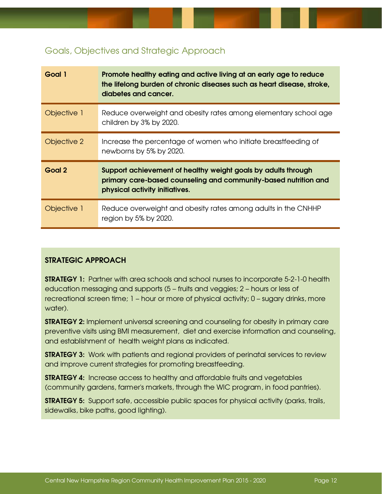# Goals, Objectives and Strategic Approach

| Goal 1      | Promote healthy eating and active living at an early age to reduce<br>the lifelong burden of chronic diseases such as heart disease, stroke,<br>diabetes and cancer. |
|-------------|----------------------------------------------------------------------------------------------------------------------------------------------------------------------|
| Objective 1 | Reduce overweight and obesity rates among elementary school age<br>children by 3% by 2020.                                                                           |
| Objective 2 | Increase the percentage of women who initiate breastfeeding of<br>newborns by 5% by 2020.                                                                            |
| Goal 2      | Support achievement of healthy weight goals by adults through<br>primary care-based counseling and community-based nutrition and<br>physical activity initiatives.   |
| Objective 1 | Reduce overweight and obesity rates among adults in the CNHHP<br>region by 5% by 2020.                                                                               |

#### STRATEGIC APPROACH

**STRATEGY 1:** Partner with area schools and school nurses to incorporate 5-2-1-0 health education messaging and supports (5 – fruits and veggies; 2 – hours or less of recreational screen time; 1 – hour or more of physical activity; 0 – sugary drinks, more water).

**STRATEGY 2:** Implement universal screening and counseling for obesity in primary care preventive visits using BMI measurement, diet and exercise information and counseling, and establishment of health weight plans as indicated.

**STRATEGY 3:** Work with patients and regional providers of perinatal services to review and improve current strategies for promoting breastfeeding.

STRATEGY 4: Increase access to healthy and affordable fruits and vegetables (community gardens, farmer's markets, through the WIC program, in food pantries).

**STRATEGY 5:** Support safe, accessible public spaces for physical activity (parks, trails, sidewalks, bike paths, good lighting).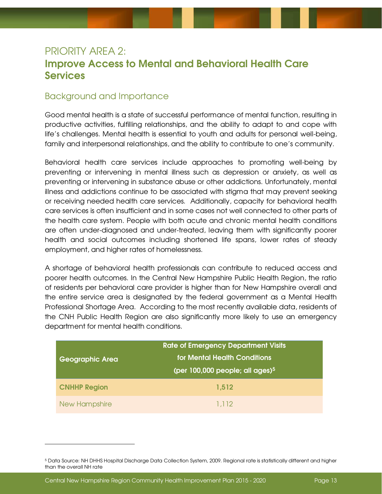# PRIORITY ARFA 2. Improve Access to Mental and Behavioral Health Care **Services**

#### Background and Importance

Good mental health is a state of successful performance of mental function, resulting in productive activities, fulfilling relationships, and the ability to adapt to and cope with life's challenges. Mental health is essential to youth and adults for personal well-being, family and interpersonal relationships, and the ability to contribute to one's community.

Behavioral health care services include approaches to promoting well-being by preventing or intervening in mental illness such as depression or anxiety, as well as preventing or intervening in substance abuse or other addictions. Unfortunately, mental illness and addictions continue to be associated with stigma that may prevent seeking or receiving needed health care services. Additionally, capacity for behavioral health care services is often insufficient and in some cases not well connected to other parts of the health care system. People with both acute and chronic mental health conditions are often under-diagnosed and under-treated, leaving them with significantly poorer health and social outcomes including shortened life spans, lower rates of steady employment, and higher rates of homelessness.

A shortage of behavioral health professionals can contribute to reduced access and poorer health outcomes. In the Central New Hampshire Public Health Region, the ratio of residents per behavioral care provider is higher than for New Hampshire overall and the entire service area is designated by the federal government as a Mental Health Professional Shortage Area. According to the most recently available data, residents of the CNH Public Health Region are also significantly more likely to use an emergency department for mental health conditions.

| <b>Geographic Area</b> | <b>Rate of Emergency Department Visits</b><br>for Mental Health Conditions<br>(per $100,000$ people; all ages) <sup>5</sup> |
|------------------------|-----------------------------------------------------------------------------------------------------------------------------|
| <b>CNHHP Region</b>    | 1,512                                                                                                                       |
| New Hampshire          | 1.112                                                                                                                       |

Central New Hampshire Region Community Health Improvement Plan 2015 - 2020 Page 13

-

<sup>5</sup> Data Source: NH DHHS Hospital Discharge Data Collection System, 2009. Regional rate is statistically different and higher than the overall NH rate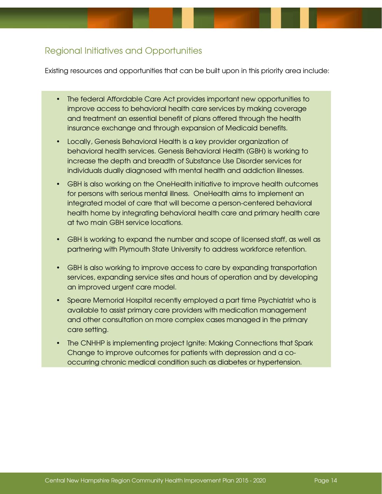#### Regional Initiatives and Opportunities

Existing resources and opportunities that can be built upon in this priority area include:

- The federal Affordable Care Act provides important new opportunities to improve access to behavioral health care services by making coverage and treatment an essential benefit of plans offered through the health insurance exchange and through expansion of Medicaid benefits.
- Locally, Genesis Behavioral Health is a key provider organization of behavioral health services. Genesis Behavioral Health (GBH) is working to increase the depth and breadth of Substance Use Disorder services for individuals dually diagnosed with mental health and addiction illnesses.
- GBH is also working on the OneHealth initiative to improve health outcomes for persons with serious mental illness. OneHealth aims to implement an integrated model of care that will become a person-centered behavioral health home by integrating behavioral health care and primary health care at two main GBH service locations.
- GBH is working to expand the number and scope of licensed staff, as well as partnering with Plymouth State University to address workforce retention.
- GBH is also working to improve access to care by expanding transportation services, expanding service sites and hours of operation and by developing an improved urgent care model.
- Speare Memorial Hospital recently employed a part time Psychiatrist who is available to assist primary care providers with medication management and other consultation on more complex cases managed in the primary care setting.
- The CNHHP is implementing project Ignite: Making Connections that Spark Change to improve outcomes for patients with depression and a cooccurring chronic medical condition such as diabetes or hypertension.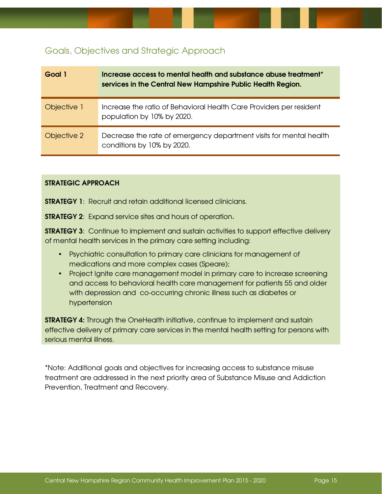# Goals, Objectives and Strategic Approach

| Goal 1      | Increase access to mental health and substance abuse treatment*<br>services in the Central New Hampshire Public Health Region. |
|-------------|--------------------------------------------------------------------------------------------------------------------------------|
| Objective 1 | Increase the ratio of Behavioral Health Care Providers per resident<br>population by 10% by 2020.                              |
| Objective 2 | Decrease the rate of emergency department visits for mental health<br>conditions by 10% by 2020.                               |

#### STRATEGIC APPROACH

STRATEGY 1: Recruit and retain additional licensed clinicians.

**STRATEGY 2:** Expand service sites and hours of operation.

**STRATEGY 3:** Continue to implement and sustain activities to support effective delivery of mental health services in the primary care setting including:

- Psychiatric consultation to primary care clinicians for management of medications and more complex cases (Speare);
- Project Ignite care management model in primary care to increase screening and access to behavioral health care management for patients 55 and older with depression and co-occurring chronic illness such as diabetes or hypertension

**STRATEGY 4:** Through the OneHealth initiative, continue to implement and sustain effective delivery of primary care services in the mental health setting for persons with serious mental illness.

\*Note: Additional goals and objectives for increasing access to substance misuse treatment are addressed in the next priority area of Substance Misuse and Addiction Prevention, Treatment and Recovery.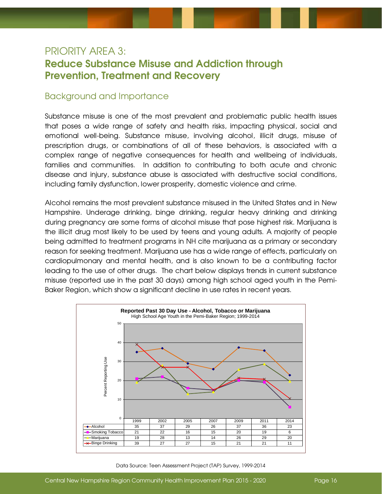# PRIORITY AREA 3: Reduce Substance Misuse and Addiction through Prevention, Treatment and Recovery

#### Background and Importance

Substance misuse is one of the most prevalent and problematic public health issues that poses a wide range of safety and health risks, impacting physical, social and emotional well-being. Substance misuse, involving alcohol, illicit drugs, misuse of prescription drugs, or combinations of all of these behaviors, is associated with a complex range of negative consequences for health and wellbeing of individuals, families and communities. In addition to contributing to both acute and chronic disease and injury, substance abuse is associated with destructive social conditions, including family dysfunction, lower prosperity, domestic violence and crime.

Alcohol remains the most prevalent substance misused in the United States and in New Hampshire. Underage drinking, binge drinking, regular heavy drinking and drinking during pregnancy are some forms of alcohol misuse that pose highest risk. Marijuana is the illicit drug most likely to be used by teens and young adults. A majority of people being admitted to treatment programs in NH cite marijuana as a primary or secondary reason for seeking treatment. Marijuana use has a wide range of effects, particularly on cardiopulmonary and mental health, and is also known to be a contributing factor leading to the use of other drugs. The chart below displays trends in current substance misuse (reported use in the past 30 days) among high school aged youth in the Pemi-Baker Region, which show a significant decline in use rates in recent years.



Data Source: Teen Assessment Project (TAP) Survey, 1999-2014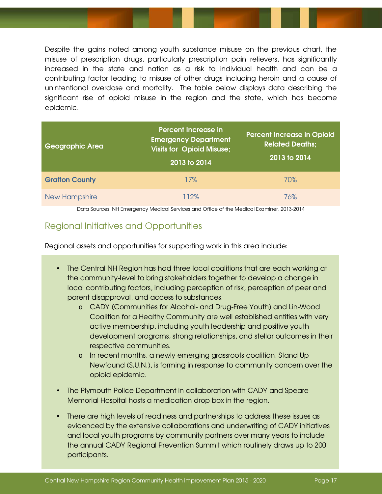Despite the gains noted among youth substance misuse on the previous chart, the misuse of prescription drugs, particularly prescription pain relievers, has significantly increased in the state and nation as a risk to individual health and can be a contributing factor leading to misuse of other drugs including heroin and a cause of unintentional overdose and mortality. The table below displays data describing the significant rise of opioid misuse in the region and the state, which has become epidemic.

| <b>Geographic Area</b> | <b>Percent Increase in</b><br><b>Emergency Department</b><br><b>Visits for Opioid Misuse;</b><br>2013 to 2014 | <b>Percent Increase in Opioid</b><br><b>Related Deaths;</b><br>2013 to 2014 |
|------------------------|---------------------------------------------------------------------------------------------------------------|-----------------------------------------------------------------------------|
| <b>Grafton County</b>  | 17%                                                                                                           | 70%                                                                         |
| <b>New Hampshire</b>   | 112%                                                                                                          | 76%                                                                         |

Data Sources: NH Emergency Medical Services and Office of the Medical Examiner, 2013-2014

#### Regional Initiatives and Opportunities

Regional assets and opportunities for supporting work in this area include:

- The Central NH Region has had three local coalitions that are each working at the community-level to bring stakeholders together to develop a change in local contributing factors, including perception of risk, perception of peer and parent disapproval, and access to substances.
	- o CADY (Communities for Alcohol- and Drug-Free Youth) and Lin-Wood Coalition for a Healthy Community are well established entities with very active membership, including youth leadership and positive youth development programs, strong relationships, and stellar outcomes in their respective communities.
	- o In recent months, a newly emerging grassroots coalition, Stand Up Newfound (S.U.N.), is forming in response to community concern over the opioid epidemic.
- The Plymouth Police Department in collaboration with CADY and Speare Memorial Hospital hosts a medication drop box in the region.
- There are high levels of readiness and partnerships to address these issues as evidenced by the extensive collaborations and underwriting of CADY initiatives and local youth programs by community partners over many years to include the annual CADY Regional Prevention Summit which routinely draws up to 200 participants.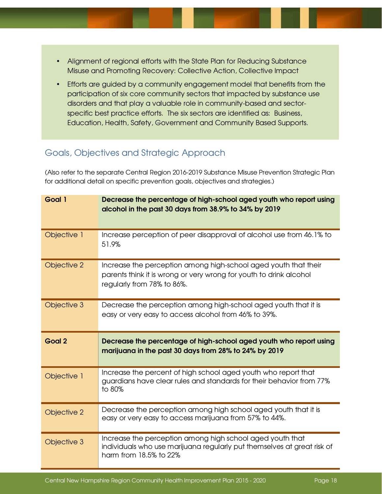- Alignment of regional efforts with the State Plan for Reducing Substance Misuse and Promoting Recovery: Collective Action, Collective Impact
- Efforts are guided by a community engagement model that benefits from the participation of six core community sectors that impacted by substance use disorders and that play a valuable role in community-based and sectorspecific best practice efforts. The six sectors are identified as: Business, Education, Health, Safety, Government and Community Based Supports.

#### Goals, Objectives and Strategic Approach

(Also refer to the separate Central Region 2016-2019 Substance Misuse Prevention Strategic Plan for additional detail on specific prevention goals, objectives and strategies.)

| Goal 1      | Decrease the percentage of high-school aged youth who report using<br>alcohol in the past 30 days from 38.9% to 34% by 2019                                         |
|-------------|---------------------------------------------------------------------------------------------------------------------------------------------------------------------|
| Objective 1 | Increase perception of peer disapproval of alcohol use from 46.1% to<br>51.9%                                                                                       |
| Objective 2 | Increase the perception among high-school aged youth that their<br>parents think it is wrong or very wrong for youth to drink alcohol<br>regularly from 78% to 86%. |
| Objective 3 | Decrease the perception among high-school aged youth that it is<br>easy or very easy to access alcohol from 46% to 39%.                                             |
|             |                                                                                                                                                                     |
| Goal 2      | Decrease the percentage of high-school aged youth who report using<br>marijuana in the past 30 days from 28% to 24% by 2019                                         |
| Objective 1 | Increase the percent of high school aged youth who report that<br>guardians have clear rules and standards for their behavior from 77%<br>to 80%                    |
| Objective 2 | Decrease the perception among high school aged youth that it is<br>easy or very easy to access marijuana from 57% to 44%.                                           |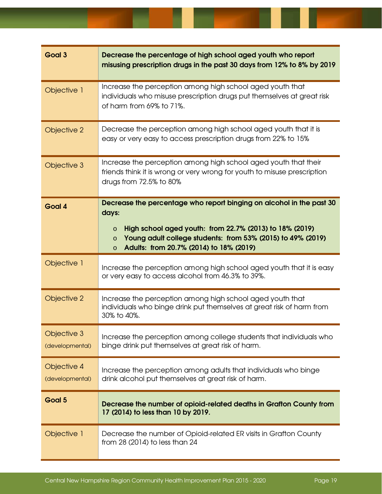| Goal 3                         | Decrease the percentage of high school aged youth who report<br>misusing prescription drugs in the past 30 days from 12% to 8% by 2019                                                                                                                                              |
|--------------------------------|-------------------------------------------------------------------------------------------------------------------------------------------------------------------------------------------------------------------------------------------------------------------------------------|
| Objective 1                    | Increase the perception among high school aged youth that<br>individuals who misuse prescription drugs put themselves at great risk<br>of harm from 69% to 71%.                                                                                                                     |
| Objective 2                    | Decrease the perception among high school aged youth that it is<br>easy or very easy to access prescription drugs from 22% to 15%                                                                                                                                                   |
| Objective 3                    | Increase the perception among high school aged youth that their<br>friends think it is wrong or very wrong for youth to misuse prescription<br>drugs from 72.5% to 80%                                                                                                              |
| Goal 4                         | Decrease the percentage who report binging on alcohol in the past 30<br>days:<br>High school aged youth: from 22.7% (2013) to 18% (2019)<br>$\circ$<br>Young adult college students: from 53% (2015) to 49% (2019)<br>$\circ$<br>Adults: from 20.7% (2014) to 18% (2019)<br>$\circ$ |
| Objective 1                    | Increase the perception among high school aged youth that it is easy<br>or very easy to access alcohol from 46.3% to 39%.                                                                                                                                                           |
| Objective 2                    | Increase the perception among high school aged youth that<br>individuals who binge drink put themselves at great risk of harm from<br>30% to 40%.                                                                                                                                   |
| Objective 3<br>(developmental) | Increase the perception among college students that individuals who<br>binge drink put themselves at great risk of harm.                                                                                                                                                            |
| Objective 4<br>(developmental) | Increase the perception among adults that individuals who binge<br>drink alcohol put themselves at great risk of harm.                                                                                                                                                              |
| Goal 5                         | Decrease the number of opioid-related deaths in Grafton County from<br>17 (2014) to less than 10 by 2019.                                                                                                                                                                           |
| Objective 1                    | Decrease the number of Opioid-related ER visits in Grafton County<br>from 28 (2014) to less than 24                                                                                                                                                                                 |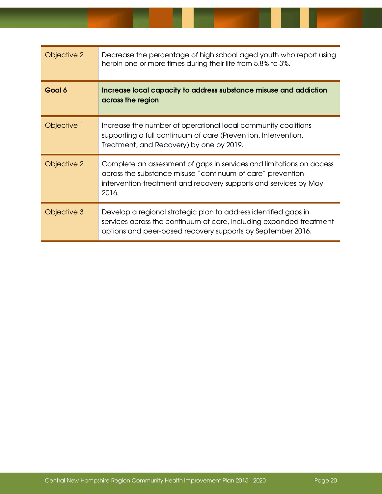| Objective 2 | Decrease the percentage of high school aged youth who report using<br>heroin one or more times during their life from 5.8% to 3%.                                                                                |
|-------------|------------------------------------------------------------------------------------------------------------------------------------------------------------------------------------------------------------------|
| Goal 6      | Increase local capacity to address substance misuse and addiction<br>across the region                                                                                                                           |
| Objective 1 | Increase the number of operational local community coalitions<br>supporting a full continuum of care (Prevention, Intervention,<br>Treatment, and Recovery) by one by 2019.                                      |
| Objective 2 | Complete an assessment of gaps in services and limitations on access<br>across the substance misuse "continuum of care" prevention-<br>intervention-treatment and recovery supports and services by May<br>2016. |
| Objective 3 | Develop a regional strategic plan to address identified gaps in<br>services across the continuum of care, including expanded treatment<br>options and peer-based recovery supports by September 2016.            |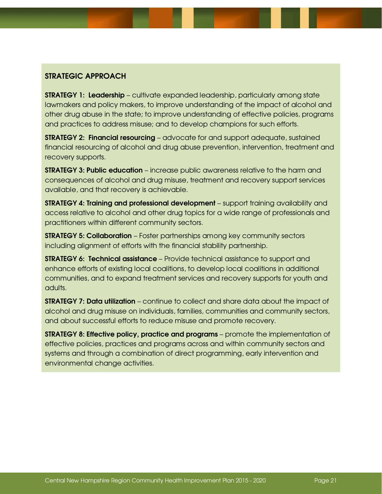#### STRATEGIC APPROACH

**STRATEGY 1: Leadership** – cultivate expanded leadership, particularly among state lawmakers and policy makers, to improve understanding of the impact of alcohol and other drug abuse in the state; to improve understanding of effective policies, programs and practices to address misuse; and to develop champions for such efforts.

**STRATEGY 2: Financial resourcing** – advocate for and support adequate, sustained financial resourcing of alcohol and drug abuse prevention, intervention, treatment and recovery supports.

**STRATEGY 3: Public education** – increase public awareness relative to the harm and consequences of alcohol and drug misuse, treatment and recovery support services available, and that recovery is achievable.

**STRATEGY 4: Training and professional development** – support training availability and access relative to alcohol and other drug topics for a wide range of professionals and practitioners within different community sectors.

**STRATEGY 5: Collaboration** – Foster partnerships among key community sectors including alignment of efforts with the financial stability partnership.

**STRATEGY 6: Technical assistance** – Provide technical assistance to support and enhance efforts of existing local coalitions, to develop local coalitions in additional communities, and to expand treatment services and recovery supports for youth and adults.

**STRATEGY 7: Data utilization** – continue to collect and share data about the impact of alcohol and drug misuse on individuals, families, communities and community sectors, and about successful efforts to reduce misuse and promote recovery.

STRATEGY 8: Effective policy, practice and programs – promote the implementation of effective policies, practices and programs across and within community sectors and systems and through a combination of direct programming, early intervention and environmental change activities.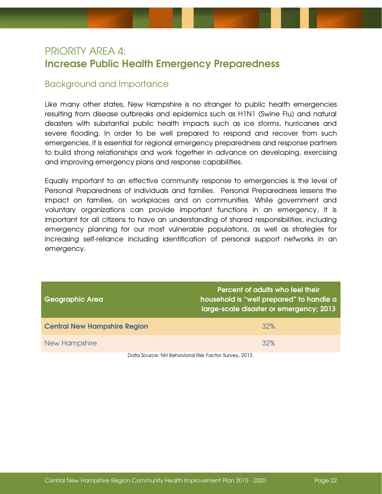# PRIORITY AREA 4: Increase Public Health Emergency Preparedness

#### Background and Importance

Like many other states, New Hampshire is no stranger to public health emergencies resulting from disease outbreaks and epidemics such as H1N1 (Swine Flu) and natural disasters with substantial public health impacts such as ice storms, hurricanes and severe flooding. In order to be well prepared to respond and recover from such emergencies, it is essential for regional emergency preparedness and response partners to build strong relationships and work together in advance on developing, exercising and improving emergency plans and response capabilities.

Equally important to an effective community response to emergencies is the level of Personal Preparedness of individuals and families. Personal Preparedness lessens the impact on families, on workplaces and on communities. While government and voluntary organizations can provide important functions in an emergency, it is important for all citizens to have an understanding of shared responsibilities, including emergency planning for our most vulnerable populations, as well as strategies for increasing self-reliance including identification of personal support networks in an emergency.

| <b>Geographic Area</b>              | Percent of adults who feel their<br>household is "well prepared" to handle a<br>Iarge-scale disaster or emergency; 2013 |
|-------------------------------------|-------------------------------------------------------------------------------------------------------------------------|
| <b>Central New Hampshire Region</b> | 32%                                                                                                                     |
| <b>New Hampshire</b>                | 32%                                                                                                                     |

Data Source: NH Behavioral Risk Factor Survey, 2013.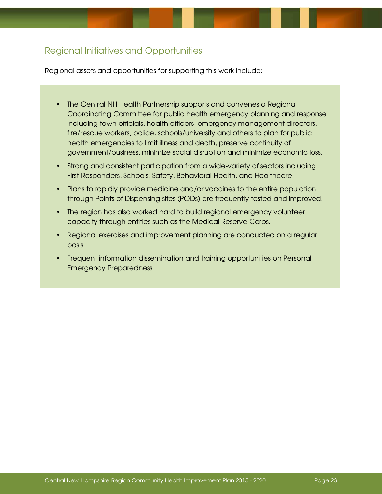# Regional Initiatives and Opportunities

Regional assets and opportunities for supporting this work include:

- The Central NH Health Partnership supports and convenes a Regional Coordinating Committee for public health emergency planning and response including town officials, health officers, emergency management directors, fire/rescue workers, police, schools/university and others to plan for public health emergencies to limit illness and death, preserve continuity of government/business, minimize social disruption and minimize economic loss.
- Strong and consistent participation from a wide-variety of sectors including First Responders, Schools, Safety, Behavioral Health, and Healthcare
- Plans to rapidly provide medicine and/or vaccines to the entire population through Points of Dispensing sites (PODs) are frequently tested and improved.
- The region has also worked hard to build regional emergency volunteer capacity through entities such as the Medical Reserve Corps.
- Regional exercises and improvement planning are conducted on a regular basis
- Frequent information dissemination and training opportunities on Personal Emergency Preparedness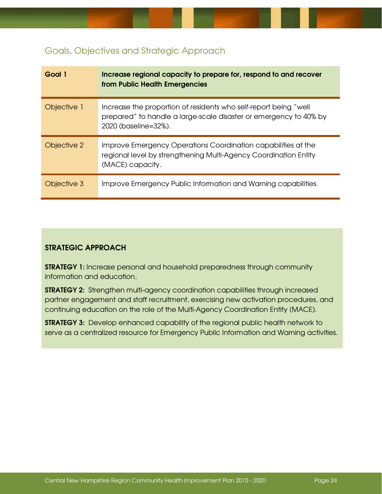# Goals, Objectives and Strategic Approach

| Goal 1      | Increase regional capacity to prepare for, respond to and recover<br>from Public Health Emergencies                                                           |
|-------------|---------------------------------------------------------------------------------------------------------------------------------------------------------------|
| Objective 1 | Increase the proportion of residents who self-report being "well<br>prepared" to handle a large-scale disaster or emergency to 40% by<br>2020 (baseline=32%). |
| Objective 2 | Improve Emergency Operations Coordination capabilities at the<br>regional level by strengthening Multi-Agency Coordination Entity<br>(MACE) capacity.         |
| Objective 3 | Improve Emergency Public Information and Warning capabilities.                                                                                                |

#### STRATEGIC APPROACH

**STRATEGY 1:** Increase personal and household preparedness through community information and education,

STRATEGY 2: Strengthen multi-agency coordination capabilities through increased partner engagement and staff recruitment, exercising new activation procedures, and continuing education on the role of the Multi-Agency Coordination Entity (MACE).

**STRATEGY 3:** Develop enhanced capability of the regional public health network to serve as a centralized resource for Emergency Public Information and Warning activities.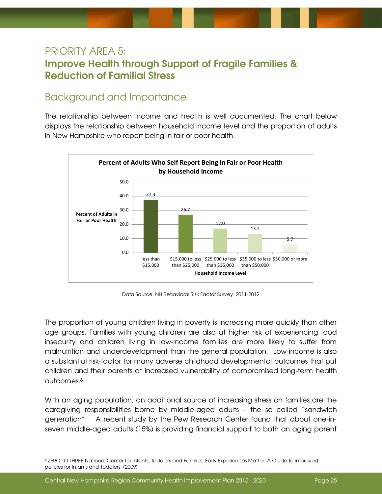# PRIORITY AREA 5: Improve Health through Support of Fragile Families & Reduction of Familial Stress

# Background and Importance

The relationship between income and health is well documented. The chart below displays the relationship between household income level and the proportion of adults in New Hampshire who report being in fair or poor health.



Data Source: NH Behavioral Risk Factor Survey, 2011-2012

The proportion of young children living in poverty is increasing more quickly than other age groups. Families with young children are also at higher risk of experiencing food insecurity and children living in low-income families are more likely to suffer from malnutrition and underdevelopment than the general population. Low-income is also a substantial risk-factor for many adverse childhood developmental outcomes that put children and their parents at increased vulnerability of compromised long-term health outcomes.<sup>6</sup>

With an aging population, an additional source of increasing stress on families are the caregiving responsibilities borne by middle-aged adults – the so called "sandwich generation". A recent study by the Pew Research Center found that about one-inseven middle-aged adults (15%) is providing financial support to both an aging parent

-

<sup>6</sup> ZERO TO THREE National Center for Infants, Toddlers and Families. Early Experiences Matter: A Guide to improved policies for Infants and Toddlers. (2009)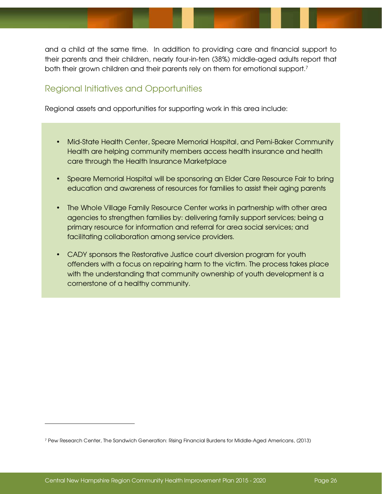and a child at the same time. In addition to providing care and financial support to their parents and their children, nearly four-in-ten (38%) middle-aged adults report that both their grown children and their parents rely on them for emotional support.<sup>7</sup>

#### Regional Initiatives and Opportunities

Regional assets and opportunities for supporting work in this area include:

- Mid-State Health Center, Speare Memorial Hospital, and Pemi-Baker Community Health are helping community members access health insurance and health care through the Health Insurance Marketplace
- Speare Memorial Hospital will be sponsoring an Elder Care Resource Fair to bring education and awareness of resources for families to assist their aging parents
- The Whole Village Family Resource Center works in partnership with other area agencies to strengthen families by: delivering family support services; being a primary resource for information and referral for area social services; and facilitating collaboration among service providers.
- CADY sponsors the Restorative Justice court diversion program for youth offenders with a focus on repairing harm to the victim. The process takes place with the understanding that community ownership of youth development is a cornerstone of a healthy community.

-

<sup>7</sup> Pew Research Center, The Sandwich Generation: Rising Financial Burdens for Middle-Aged Americans, (2013)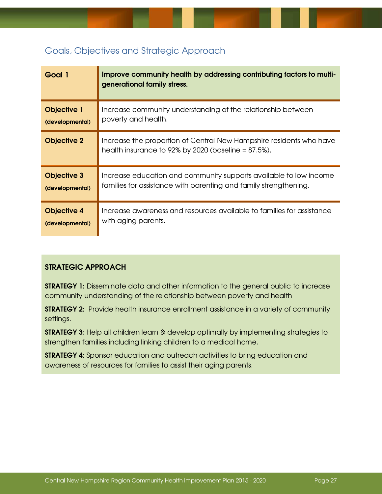# Goals, Objectives and Strategic Approach

| Goal 1             | Improve community health by addressing contributing factors to multi-<br>generational family stress.                           |
|--------------------|--------------------------------------------------------------------------------------------------------------------------------|
| Objective 1        | Increase community understanding of the relationship between                                                                   |
| (developmental)    | poverty and health.                                                                                                            |
| <b>Objective 2</b> | Increase the proportion of Central New Hampshire residents who have<br>health insurance to 92% by 2020 (baseline $= 87.5\%$ ). |
| <b>Objective 3</b> | Increase education and community supports available to low income                                                              |
| (developmental)    | families for assistance with parenting and family strengthening.                                                               |
| <b>Objective 4</b> | Increase awareness and resources available to families for assistance                                                          |
| (developmental)    | with aging parents.                                                                                                            |

#### STRATEGIC APPROACH

**STRATEGY 1:** Disseminate data and other information to the general public to increase community understanding of the relationship between poverty and health

**STRATEGY 2:** Provide health insurance enrollment assistance in a variety of community settings.

**STRATEGY 3:** Help all children learn & develop optimally by implementing strategies to strengthen families including linking children to a medical home.

**STRATEGY 4:** Sponsor education and outreach activities to bring education and awareness of resources for families to assist their aging parents.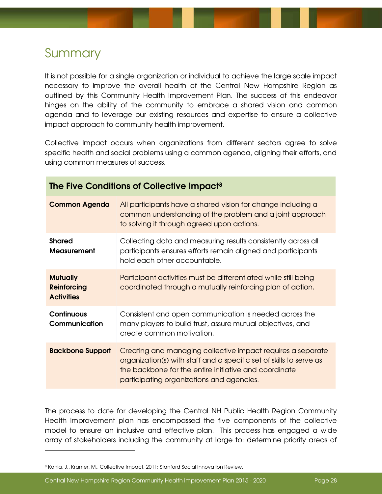# **Summary**

It is not possible for a single organization or individual to achieve the large scale impact necessary to improve the overall health of the Central New Hampshire Region as outlined by this Community Health Improvement Plan. The success of this endeavor hinges on the ability of the community to embrace a shared vision and common agenda and to leverage our existing resources and expertise to ensure a collective impact approach to community health improvement.

Collective Impact occurs when organizations from different sectors agree to solve specific health and social problems using a common agenda, aligning their efforts, and using common measures of success.

| The Five Conditions of Collective Impact <sup>8</sup>      |                                                                                                                                                                                                                                          |  |
|------------------------------------------------------------|------------------------------------------------------------------------------------------------------------------------------------------------------------------------------------------------------------------------------------------|--|
| <b>Common Agenda</b>                                       | All participants have a shared vision for change including a<br>common understanding of the problem and a joint approach<br>to solving it through agreed upon actions.                                                                   |  |
| <b>Shared</b><br><b>Measurement</b>                        | Collecting data and measuring results consistently across all<br>participants ensures efforts remain aligned and participants<br>hold each other accountable.                                                                            |  |
| <b>Mutually</b><br><b>Reinforcing</b><br><b>Activities</b> | Participant activities must be differentiated while still being<br>coordinated through a mutually reinforcing plan of action.                                                                                                            |  |
| Continuous<br>Communication                                | Consistent and open communication is needed across the<br>many players to build trust, assure mutual objectives, and<br>create common motivation.                                                                                        |  |
| <b>Backbone Support</b>                                    | Creating and managing collective impact requires a separate<br>organization(s) with staff and a specific set of skills to serve as<br>the backbone for the entire initiative and coordinate<br>participating organizations and agencies. |  |

The process to date for developing the Central NH Public Health Region Community Health Improvement plan has encompassed the five components of the collective model to ensure an inclusive and effective plan. This process has engaged a wide array of stakeholders including the community at large to: determine priority areas of

-

Central New Hampshire Region Community Health Improvement Plan 2015 - 2020 Page 28

<sup>8</sup> Kania, J., Kramer, M., Collective Impact. 2011: Stanford Social Innovation Review.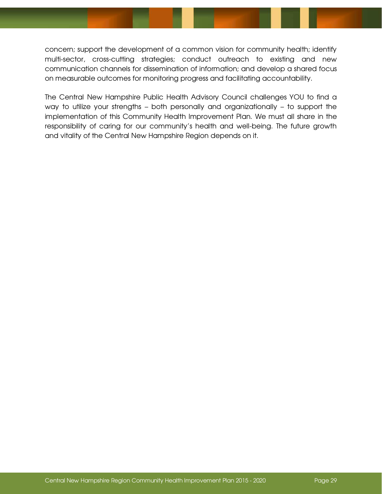

The Central New Hampshire Public Health Advisory Council challenges YOU to find a way to utilize your strengths – both personally and organizationally – to support the implementation of this Community Health Improvement Plan. We must all share in the responsibility of caring for our community's health and well-being. The future growth and vitality of the Central New Hampshire Region depends on it.